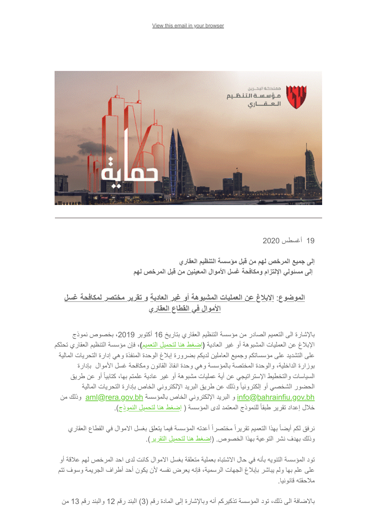

19 أغسطس 2020

**إلى جمیع المرخص لھم من قبل مؤسسة التنظیم العقاري إلى مسئولي الإلتزام ومكافحة غسل الأموال المعینین من قبل المرخص لھم** 

## **الموضوع**: **الإبلاغ عن العملیات المشبوھة أو غیر العادیة و تقریر مختصر لمكافحة غسل الأموال في القطاع العقاري**

بالإشارة الى التعمیم الصادر من مؤسسة التنظیم العقاري بتاریخ 16 أكتوبر ،2019 بخصوص نموذج الإبلاغ عن العملیات المشبوھة أو غیر العادیة **(**[إضغط ھنا لتحمیل التعمیم](https://www.rera.gov.bh/Media/downloads/Circulars/Circular-Template_for_Reporting_Extraordinary_or_Suspicious_Transactions.pdf?utm_source=Audience-06-August-2020&utm_campaign=fd84a77a10-CAMPAIGN_GULF+PROPERTY_SHOW_COPY_01&utm_medium=email&utm_term=0_972d228ac5-fd84a77a10-%5BLIST_EMAIL_ID%5D&ct=t%28CAMPAIGN_GULF+PROPERTY_SHOW_COPY_01%29)**)،** فإن مؤسسة التنظیم العقاري تحثكم على التشدید على مؤسساتكم وجمیع العاملین لدیكم بضرورة إبلاغ الوحدة المنفذة وھي إدارة التحریات المالیة بوزارة الداخلیة، والوحدة المختصة بالمؤسسة وھي وحدة انفاذ القانون ومكافحة غسل الأموال بإدارة السیاسات والتخطیط الإستراتیجي عن أیة عملیات مشبوھة أو غیر عادیة علمتم بھا، كتابیاً أو عن طریق الحضور الشخصي أو إلكترونیاً وذلك عن طریق البرید الإلكتروني الخاص بإدارة التحریات المالیة من [info@bahrainfiu.gov.bh](mailto:info@bahrainfiu.gov.bh) بالمؤسسة الخاص البرید الإلكتروني الخاص بالمؤسسة العروني الموا $\omega$ bahrainfiu.gov.bh خلال إعداد تقریر طبقاً للنموذج المعتمد لدى المؤسسة ( [إضغط ھنا لتحمیل النموذج](https://www.rera.gov.bh/Media/downloads/Circulars/Suspicious-Report-Transaction.pdf?utm_source=Audience-06-August-2020&utm_campaign=fd84a77a10-CAMPAIGN_GULF+PROPERTY_SHOW_COPY_01&utm_medium=email&utm_term=0_972d228ac5-fd84a77a10-%5BLIST_EMAIL_ID%5D&ct=t%28CAMPAIGN_GULF+PROPERTY_SHOW_COPY_01%29)).

نرفق لكم أیضاً بھذا التعمیم تقریراً مختصراً أعدتھ المؤسسة فیما یتعلق بغسل الاموال في القطاع العقاري وذلك بھدف نشر التوعیة بھذا الخصوص. (إ[ضغط ھنا لتحمیل التقریر\)](https://www.rera.gov.bh/Media/downloads/mailchimp/ML%20Summary-AR-180820.pdf).

تود المؤسسة التنویھ بأنھ في حال الاشتباه بعملیة متعلقة بغسل الاموال كانت لدى احد المرخص لھم علاقة أو على علم بھا ولم یباشر بإبلاغ الجھات الرسمیة، فإنھ یعرض نفسھ لأن یكون أحد أطراف الجریمة وسوف تتم ملاحقتھ قانونیا.

بالاضافة الى ذلك، تود المؤسسة تذكیركم أنھ وبالإشارة إلى المادة رقم (3) البند رقم 12 والبند رقم 13 من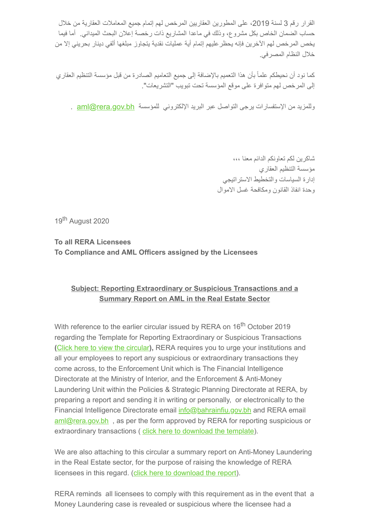القرار رقم 3 لسنة 2019، على المطورين العقاريين المرخص لهم إتمام جميع المعاملات العقارية من خلال حساب الضمان الخاص بكل مشروع، وذلك في ماعدا المشاریع ذات رخصة إعلان البحث المیداني. أما فیما یخص المرخص لھم الآخرین فإنھ یحظرعلیھم إتمام أیة عملیات نقدیة یتجاوز مبلغھا ألفي دینار بحریني إلا من خلال النظام المصرفي.

كما نود أن نحیطكم علماً بأن ھذا التعمیم بالإضافة إلى جمیع التعامیم الصادرة من قبل مؤسسة التنظیم العقاري إلى المرخص لھم متوافرة على موقع المؤسسة تحت تبویب "التشریعات".

وللمزيد من الإستفسارات يرجى التواصل عبر البريد الإلكتروني للمؤسسة aml@rera.gov.bh

شاكرین لكم تعاونكم الدائم معنا ،،، مؤسسة التنظیم العقاري إدارة السیاسات والتخطیط الاستراتیجي وحدة انفاذ القانون ومكافحة غسل الاموال

19<sup>th</sup> August 2020

**To all RERA Licensees To Compliance and AML Officers assigned by the Licensees**

## **Subject: Reporting Extraordinary or Suspicious Transactions and a Summary Report on AML in the Real Estate Sector**

With reference to the earlier circular issued by RERA on 16<sup>th</sup> October 2019 regarding the Template for Reporting Extraordinary or Suspicious Transactions **(**[Click here to view the circular](https://www.rera.gov.bh/Media/downloads/Circulars/Circular-Template_for_Reporting_Extraordinary_or_Suspicious_Transactions.pdf?utm_source=Audience-06-August-2020&utm_campaign=fd84a77a10-CAMPAIGN_GULF+PROPERTY_SHOW_COPY_01&utm_medium=email&utm_term=0_972d228ac5-fd84a77a10-%5BLIST_EMAIL_ID%5D&ct=t%28CAMPAIGN_GULF+PROPERTY_SHOW_COPY_01%29)**),** RERA requires you to urge your institutions and all your employees to report any suspicious or extraordinary transactions they come across, to the Enforcement Unit which is The Financial Intelligence Directorate at the Ministry of Interior, and the Enforcement & Anti-Money Laundering Unit within the Policies & Strategic Planning Directorate at RERA, by preparing a report and sending it in writing or personally, or electronically to the Financial Intelligence Directorate email *info@bahrainfiu.gov.bh* and RERA email [aml@rera.gov.bh](mailto:aml@rera.gov.bh) , as per the form approved by RERA for reporting suspicious or extraordinary transactions ( [click here to download the template\)](https://www.rera.gov.bh/Media/downloads/Circulars/Suspicious-Report-Transaction.pdf?utm_source=Audience-06-August-2020&utm_campaign=fd84a77a10-CAMPAIGN_GULF+PROPERTY_SHOW_COPY_01&utm_medium=email&utm_term=0_972d228ac5-fd84a77a10-%5BLIST_EMAIL_ID%5D&ct=t%28CAMPAIGN_GULF+PROPERTY_SHOW_COPY_01%29).

We are also attaching to this circular a summary report on Anti-Money Laundering in the Real Estate sector, for the purpose of raising the knowledge of RERA licensees in this regard. [\(click here to download the report](https://www.rera.gov.bh/Media/downloads/mailchimp/ML%20Summary-ENG-180820.pdf)).

RERA reminds all licensees to comply with this requirement as in the event that a Money Laundering case is revealed or suspicious where the licensee had a